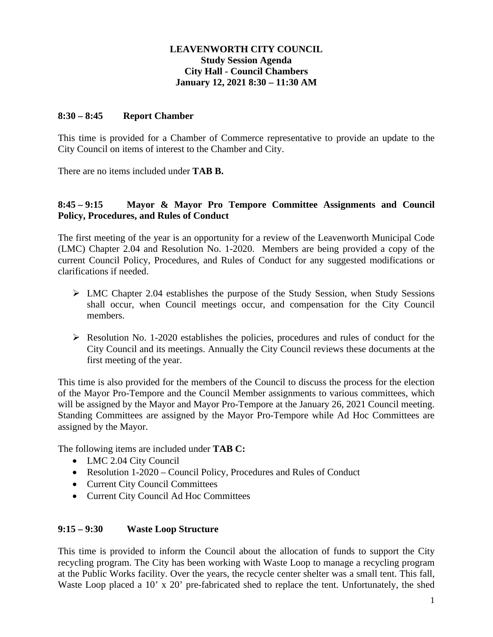# **LEAVENWORTH CITY COUNCIL Study Session Agenda City Hall - Council Chambers January 12, 2021 8:30 – 11:30 AM**

#### **8:30 – 8:45 Report Chamber**

This time is provided for a Chamber of Commerce representative to provide an update to the City Council on items of interest to the Chamber and City.

There are no items included under **TAB B.**

# **8:45 – 9:15 Mayor & Mayor Pro Tempore Committee Assignments and Council Policy, Procedures, and Rules of Conduct**

The first meeting of the year is an opportunity for a review of the Leavenworth Municipal Code (LMC) Chapter 2.04 and Resolution No. 1-2020. Members are being provided a copy of the current Council Policy, Procedures, and Rules of Conduct for any suggested modifications or clarifications if needed.

- $\triangleright$  LMC Chapter 2.04 establishes the purpose of the Study Session, when Study Sessions shall occur, when Council meetings occur, and compensation for the City Council members.
- $\triangleright$  Resolution No. 1-2020 establishes the policies, procedures and rules of conduct for the City Council and its meetings. Annually the City Council reviews these documents at the first meeting of the year.

This time is also provided for the members of the Council to discuss the process for the election of the Mayor Pro-Tempore and the Council Member assignments to various committees, which will be assigned by the Mayor and Mayor Pro-Tempore at the January 26, 2021 Council meeting. Standing Committees are assigned by the Mayor Pro-Tempore while Ad Hoc Committees are assigned by the Mayor.

The following items are included under **TAB C:**

- LMC 2.04 City Council
- Resolution 1-2020 Council Policy, Procedures and Rules of Conduct
- Current City Council Committees
- Current City Council Ad Hoc Committees

# **9:15 – 9:30 Waste Loop Structure**

This time is provided to inform the Council about the allocation of funds to support the City recycling program. The City has been working with Waste Loop to manage a recycling program at the Public Works facility. Over the years, the recycle center shelter was a small tent. This fall, Waste Loop placed a 10' x 20' pre-fabricated shed to replace the tent. Unfortunately, the shed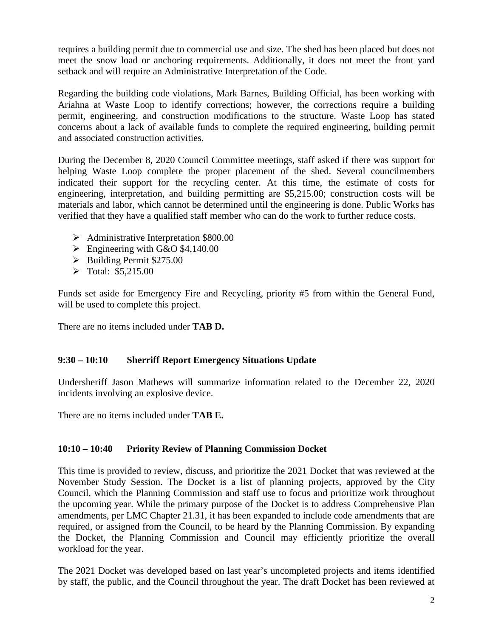requires a building permit due to commercial use and size. The shed has been placed but does not meet the snow load or anchoring requirements. Additionally, it does not meet the front yard setback and will require an Administrative Interpretation of the Code.

Regarding the building code violations, Mark Barnes, Building Official, has been working with Ariahna at Waste Loop to identify corrections; however, the corrections require a building permit, engineering, and construction modifications to the structure. Waste Loop has stated concerns about a lack of available funds to complete the required engineering, building permit and associated construction activities.

During the December 8, 2020 Council Committee meetings, staff asked if there was support for helping Waste Loop complete the proper placement of the shed. Several councilmembers indicated their support for the recycling center. At this time, the estimate of costs for engineering, interpretation, and building permitting are \$5,215.00; construction costs will be materials and labor, which cannot be determined until the engineering is done. Public Works has verified that they have a qualified staff member who can do the work to further reduce costs.

- $\blacktriangleright$  Administrative Interpretation \$800.00
- $\triangleright$  Engineering with G&O \$4,140.00
- $\blacktriangleright$  Building Permit \$275.00
- $\triangleright$  Total: \$5,215.00

Funds set aside for Emergency Fire and Recycling, priority #5 from within the General Fund, will be used to complete this project.

There are no items included under **TAB D.**

# **9:30 – 10:10 Sherriff Report Emergency Situations Update**

Undersheriff Jason Mathews will summarize information related to the December 22, 2020 incidents involving an explosive device.

There are no items included under **TAB E.**

# **10:10 – 10:40 Priority Review of Planning Commission Docket**

This time is provided to review, discuss, and prioritize the 2021 Docket that was reviewed at the November Study Session. The Docket is a list of planning projects, approved by the City Council, which the Planning Commission and staff use to focus and prioritize work throughout the upcoming year. While the primary purpose of the Docket is to address Comprehensive Plan amendments, per LMC Chapter 21.31, it has been expanded to include code amendments that are required, or assigned from the Council, to be heard by the Planning Commission. By expanding the Docket, the Planning Commission and Council may efficiently prioritize the overall workload for the year.

The 2021 Docket was developed based on last year's uncompleted projects and items identified by staff, the public, and the Council throughout the year. The draft Docket has been reviewed at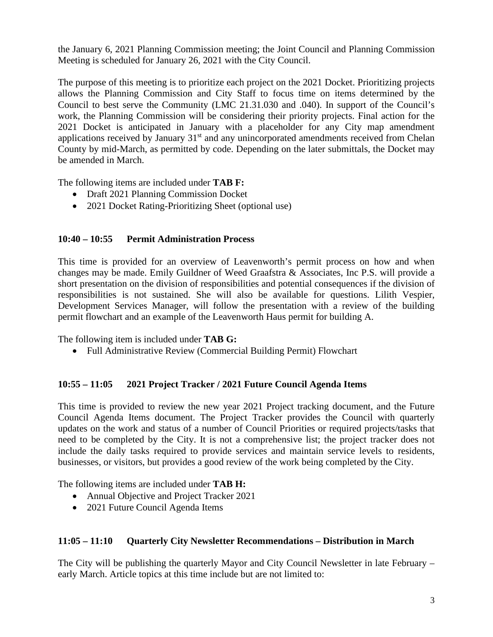the January 6, 2021 Planning Commission meeting; the Joint Council and Planning Commission Meeting is scheduled for January 26, 2021 with the City Council.

The purpose of this meeting is to prioritize each project on the 2021 Docket. Prioritizing projects allows the Planning Commission and City Staff to focus time on items determined by the Council to best serve the Community (LMC 21.31.030 and .040). In support of the Council's work, the Planning Commission will be considering their priority projects. Final action for the 2021 Docket is anticipated in January with a placeholder for any City map amendment applications received by January 31<sup>st</sup> and any unincorporated amendments received from Chelan County by mid-March, as permitted by code. Depending on the later submittals, the Docket may be amended in March.

The following items are included under **TAB F:**

- Draft 2021 Planning Commission Docket
- 2021 Docket Rating-Prioritizing Sheet (optional use)

# **10:40 – 10:55 Permit Administration Process**

This time is provided for an overview of Leavenworth's permit process on how and when changes may be made. Emily Guildner of Weed Graafstra & Associates, Inc P.S. will provide a short presentation on the division of responsibilities and potential consequences if the division of responsibilities is not sustained. She will also be available for questions. Lilith Vespier, Development Services Manager, will follow the presentation with a review of the building permit flowchart and an example of the Leavenworth Haus permit for building A.

The following item is included under **TAB G:**

• Full Administrative Review (Commercial Building Permit) Flowchart

# **10:55 – 11:05 2021 Project Tracker / 2021 Future Council Agenda Items**

This time is provided to review the new year 2021 Project tracking document, and the Future Council Agenda Items document. The Project Tracker provides the Council with quarterly updates on the work and status of a number of Council Priorities or required projects/tasks that need to be completed by the City. It is not a comprehensive list; the project tracker does not include the daily tasks required to provide services and maintain service levels to residents, businesses, or visitors, but provides a good review of the work being completed by the City.

The following items are included under **TAB H:**

- Annual Objective and Project Tracker 2021
- 2021 Future Council Agenda Items

#### **11:05 – 11:10 Quarterly City Newsletter Recommendations – Distribution in March**

The City will be publishing the quarterly Mayor and City Council Newsletter in late February – early March. Article topics at this time include but are not limited to: